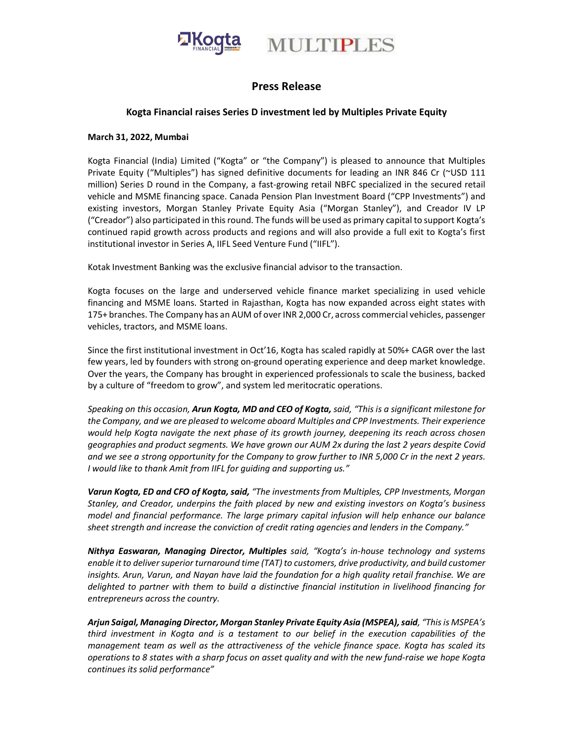

# Press Release

### Kogta Financial raises Series D investment led by Multiples Private Equity

#### March 31, 2022, Mumbai

Kogta Financial (India) Limited ("Kogta" or "the Company") is pleased to announce that Multiples Private Equity ("Multiples") has signed definitive documents for leading an INR 846 Cr (~USD 111 million) Series D round in the Company, a fast-growing retail NBFC specialized in the secured retail vehicle and MSME financing space. Canada Pension Plan Investment Board ("CPP Investments") and existing investors, Morgan Stanley Private Equity Asia ("Morgan Stanley"), and Creador IV LP ("Creador") also participated in this round. The funds will be used as primary capital to support Kogta's continued rapid growth across products and regions and will also provide a full exit to Kogta's first institutional investor in Series A, IIFL Seed Venture Fund ("IIFL").

Kotak Investment Banking was the exclusive financial advisor to the transaction.

Kogta focuses on the large and underserved vehicle finance market specializing in used vehicle financing and MSME loans. Started in Rajasthan, Kogta has now expanded across eight states with 175+ branches. The Company has an AUM of over INR 2,000 Cr, across commercial vehicles, passenger vehicles, tractors, and MSME loans.

Since the first institutional investment in Oct'16, Kogta has scaled rapidly at 50%+ CAGR over the last few years, led by founders with strong on-ground operating experience and deep market knowledge. Over the years, the Company has brought in experienced professionals to scale the business, backed by a culture of "freedom to grow", and system led meritocratic operations.

Speaking on this occasion, Arun Kogta, MD and CEO of Kogta, said, "This is a significant milestone for the Company, and we are pleased to welcome aboard Multiples and CPP Investments. Their experience would help Kogta navigate the next phase of its growth journey, deepening its reach across chosen geographies and product segments. We have grown our AUM 2x during the last 2 years despite Covid and we see a strong opportunity for the Company to grow further to INR 5,000 Cr in the next 2 years. I would like to thank Amit from IIFL for guiding and supporting us."

Varun Kogta, ED and CFO of Kogta, said, "The investments from Multiples, CPP Investments, Morgan Stanley, and Creador, underpins the faith placed by new and existing investors on Kogta's business model and financial performance. The large primary capital infusion will help enhance our balance sheet strength and increase the conviction of credit rating agencies and lenders in the Company."

Nithya Easwaran, Managing Director, Multiples said, "Kogta's in-house technology and systems enable it to deliver superior turnaround time (TAT) to customers, drive productivity, and build customer insights. Arun, Varun, and Nayan have laid the foundation for a high quality retail franchise. We are delighted to partner with them to build a distinctive financial institution in livelihood financing for entrepreneurs across the country.

Arjun Saigal, Managing Director, Morgan Stanley Private Equity Asia (MSPEA), said, "This is MSPEA's third investment in Kogta and is a testament to our belief in the execution capabilities of the management team as well as the attractiveness of the vehicle finance space. Kogta has scaled its operations to 8 states with a sharp focus on asset quality and with the new fund-raise we hope Kogta continues its solid performance"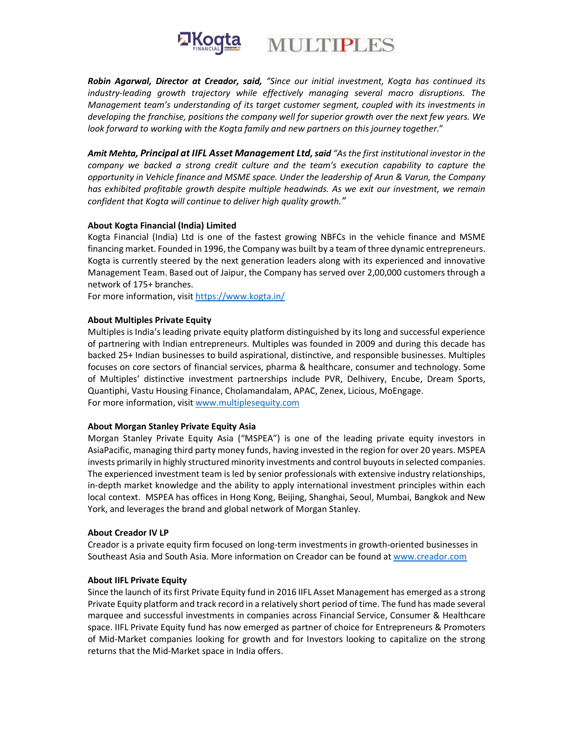



Robin Agarwal, Director at Creador, said, "Since our initial investment, Kogta has continued its industry-leading growth trajectory while effectively managing several macro disruptions. The Management team's understanding of its target customer segment, coupled with its investments in developing the franchise, positions the company well for superior growth over the next few years. We look forward to working with the Kogta family and new partners on this journey together."

Amit Mehta, Principal at IIFL Asset Management Ltd, said "As the first institutional investor in the company we backed a strong credit culture and the team's execution capability to capture the opportunity in Vehicle finance and MSME space. Under the leadership of Arun & Varun, the Company has exhibited profitable growth despite multiple headwinds. As we exit our investment, we remain confident that Kogta will continue to deliver high quality growth."

#### About Kogta Financial (India) Limited

Kogta Financial (India) Ltd is one of the fastest growing NBFCs in the vehicle finance and MSME financing market. Founded in 1996, the Company was built by a team of three dynamic entrepreneurs. Kogta is currently steered by the next generation leaders along with its experienced and innovative Management Team. Based out of Jaipur, the Company has served over 2,00,000 customers through a network of 175+ branches.

For more information, visit https://www.kogta.in/

#### About Multiples Private Equity

Multiples is India's leading private equity platform distinguished by its long and successful experience of partnering with Indian entrepreneurs. Multiples was founded in 2009 and during this decade has backed 25+ Indian businesses to build aspirational, distinctive, and responsible businesses. Multiples focuses on core sectors of financial services, pharma & healthcare, consumer and technology. Some of Multiples' distinctive investment partnerships include PVR, Delhivery, Encube, Dream Sports, Quantiphi, Vastu Housing Finance, Cholamandalam, APAC, Zenex, Licious, MoEngage. For more information, visit www.multiplesequity.com

#### About Morgan Stanley Private Equity Asia

Morgan Stanley Private Equity Asia ("MSPEA") is one of the leading private equity investors in AsiaPacific, managing third party money funds, having invested in the region for over 20 years. MSPEA invests primarily in highly structured minority investments and control buyouts in selected companies. The experienced investment team is led by senior professionals with extensive industry relationships, in-depth market knowledge and the ability to apply international investment principles within each local context. MSPEA has offices in Hong Kong, Beijing, Shanghai, Seoul, Mumbai, Bangkok and New York, and leverages the brand and global network of Morgan Stanley.

#### About Creador IV LP

Creador is a private equity firm focused on long-term investments in growth-oriented businesses in Southeast Asia and South Asia. More information on Creador can be found at www.creador.com

#### About IIFL Private Equity

Since the launch of its first Private Equity fund in 2016 IIFL Asset Management has emerged as a strong Private Equity platform and track record in a relatively short period of time. The fund has made several marquee and successful investments in companies across Financial Service, Consumer & Healthcare space. IIFL Private Equity fund has now emerged as partner of choice for Entrepreneurs & Promoters of Mid-Market companies looking for growth and for Investors looking to capitalize on the strong returns that the Mid-Market space in India offers.